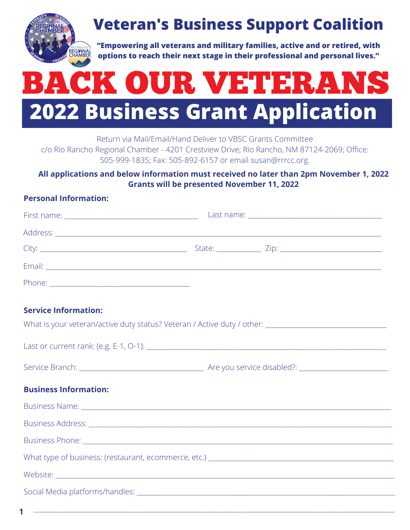

## **Veteran's Business Support Coalition**

**"Empowering all veterans and military families, active and or retired, with options to reach their next stage in their professional and personal lives."**

# **2022 Business Grant Application** BACK OUR VETERANS

Return via Mail/Email/Hand Deliver to VBSC Grants Committee

c/o Rio Rancho Regional Chamber - 4201 Crestview Drive; Rio Rancho, NM 87124-2069; Office: 505-999-1835; Fax: 505-892-6157 or email [susan@rrrcc.org.](mailto:susan@rrrcc.org)

### **All applications and below information must received no later than 2pm November 1, 2022 Grants will be presented November 11, 2022**

### **Personal Information:**

What is your veteran/active duty status? Veteran / Active duty / other:

### **Service Information:**

| <b>Business Information:</b> |  |
|------------------------------|--|
|                              |  |
|                              |  |
|                              |  |
|                              |  |
|                              |  |
|                              |  |
|                              |  |